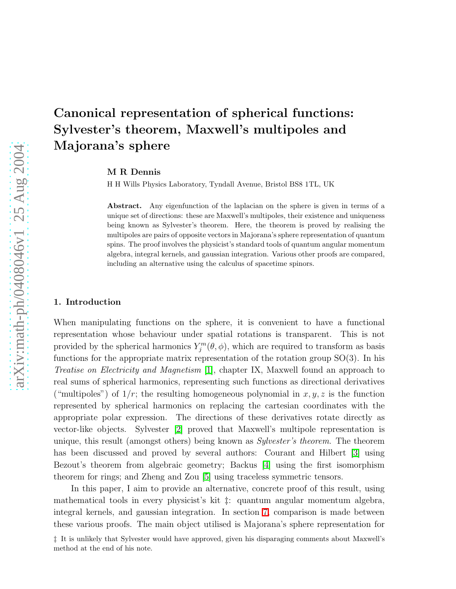# Canonical representation of spherical functions: Sylvester's theorem, Maxwell's multipoles and Majorana's sphere

M R Dennis

H H Wills Physics Laboratory, Tyndall Avenue, Bristol BS8 1TL, UK

Abstract. Any eigenfunction of the laplacian on the sphere is given in terms of a unique set of directions: these are Maxwell's multipoles, their existence and uniqueness being known as Sylvester's theorem. Here, the theorem is proved by realising the multipoles are pairs of opposite vectors in Majorana's sphere representation of quantum spins. The proof involves the physicist's standard tools of quantum angular momentum algebra, integral kernels, and gaussian integration. Various other proofs are compared, including an alternative using the calculus of spacetime spinors.

#### 1. Introduction

When manipulating functions on the sphere, it is convenient to have a functional representation whose behaviour under spatial rotations is transparent. This is not provided by the spherical harmonics  $Y_j^m(\theta, \phi)$ , which are required to transform as basis functions for the appropriate matrix representation of the rotation group SO(3). In his Treatise on Electricity and Magnetism [\[1\]](#page-15-0), chapter IX, Maxwell found an approach to real sums of spherical harmonics, representing such functions as directional derivatives ("multipoles") of  $1/r$ ; the resulting homogeneous polynomial in  $x, y, z$  is the function represented by spherical harmonics on replacing the cartesian coordinates with the appropriate polar expression. The directions of these derivatives rotate directly as vector-like objects. Sylvester [\[2\]](#page-15-1) proved that Maxwell's multipole representation is unique, this result (amongst others) being known as *Sylvester's theorem*. The theorem has been discussed and proved by several authors: Courant and Hilbert [\[3\]](#page-15-2) using Bezout's theorem from algebraic geometry; Backus [\[4\]](#page-15-3) using the first isomorphism theorem for rings; and Zheng and Zou [\[5\]](#page-15-4) using traceless symmetric tensors.

In this paper, I aim to provide an alternative, concrete proof of this result, using mathematical tools in every physicist's kit ‡: quantum angular momentum algebra, integral kernels, and gaussian integration. In section [7,](#page-10-0) comparison is made between these various proofs. The main object utilised is Majorana's sphere representation for

<sup>‡</sup> It is unlikely that Sylvester would have approved, given his disparaging comments about Maxwell's method at the end of his note.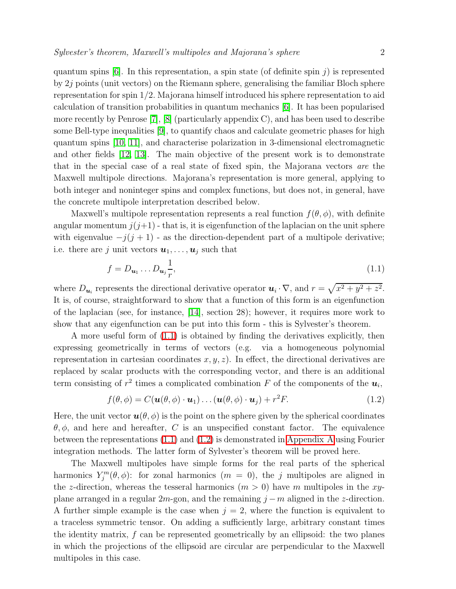quantum spins  $[6]$ . In this representation, a spin state (of definite spin j) is represented by  $2j$  points (unit vectors) on the Riemann sphere, generalising the familiar Bloch sphere representation for spin 1/2. Majorana himself introduced his sphere representation to aid calculation of transition probabilities in quantum mechanics [\[6\]](#page-15-5). It has been popularised more recently by Penrose  $[7]$ ,  $[8]$  (particularly appendix C), and has been used to describe

some Bell-type inequalities [\[9\]](#page-15-8), to quantify chaos and calculate geometric phases for high quantum spins [\[10,](#page-15-9) [11\]](#page-15-10), and characterise polarization in 3-dimensional electromagnetic and other fields [\[12,](#page-15-11) [13\]](#page-15-12). The main objective of the present work is to demonstrate that in the special case of a real state of fixed spin, the Majorana vectors are the Maxwell multipole directions. Majorana's representation is more general, applying to both integer and noninteger spins and complex functions, but does not, in general, have the concrete multipole interpretation described below.

Maxwell's multipole representation represents a real function  $f(\theta, \phi)$ , with definite angular momentum  $j(j+1)$  - that is, it is eigenfunction of the laplacian on the unit sphere with eigenvalue  $-j(j + 1)$  - as the direction-dependent part of a multipole derivative; i.e. there are j unit vectors  $u_1, \ldots, u_j$  such that

$$
f = D_{\mathbf{u}_1} \dots D_{\mathbf{u}_j} \frac{1}{r},\tag{1.1}
$$

<span id="page-1-0"></span>where  $D_{u_i}$  represents the directional derivative operator  $u_i \cdot \nabla$ , and  $r = \sqrt{x^2 + y^2 + z^2}$ . It is, of course, straightforward to show that a function of this form is an eigenfunction of the laplacian (see, for instance, [\[14\]](#page-15-13), section 28); however, it requires more work to show that any eigenfunction can be put into this form - this is Sylvester's theorem.

A more useful form of [\(1.1\)](#page-1-0) is obtained by finding the derivatives explicitly, then expressing geometrically in terms of vectors (e.g. via a homogeneous polynomial representation in cartesian coordinates  $x, y, z$ ). In effect, the directional derivatives are replaced by scalar products with the corresponding vector, and there is an additional term consisting of  $r^2$  times a complicated combination F of the components of the  $u_i$ ,

$$
f(\theta, \phi) = C(\mathbf{u}(\theta, \phi) \cdot \mathbf{u}_1) \dots (\mathbf{u}(\theta, \phi) \cdot \mathbf{u}_j) + r^2 F. \tag{1.2}
$$

<span id="page-1-1"></span>Here, the unit vector  $\mathbf{u}(\theta, \phi)$  is the point on the sphere given by the spherical coordinates  $\theta, \phi$ , and here and hereafter, C is an unspecified constant factor. The equivalence between the representations [\(1.1\)](#page-1-0) and [\(1.2\)](#page-1-1) is demonstrated in [Appendix A](#page-12-0) using Fourier integration methods. The latter form of Sylvester's theorem will be proved here.

The Maxwell multipoles have simple forms for the real parts of the spherical harmonics  $Y_j^m(\theta, \phi)$ : for zonal harmonics  $(m = 0)$ , the j multipoles are aligned in the z-direction, whereas the tesseral harmonics  $(m > 0)$  have m multipoles in the xyplane arranged in a regular 2m-gon, and the remaining  $j - m$  aligned in the z-direction. A further simple example is the case when  $j = 2$ , where the function is equivalent to a traceless symmetric tensor. On adding a sufficiently large, arbitrary constant times the identity matrix, f can be represented geometrically by an ellipsoid: the two planes in which the projections of the ellipsoid are circular are perpendicular to the Maxwell multipoles in this case.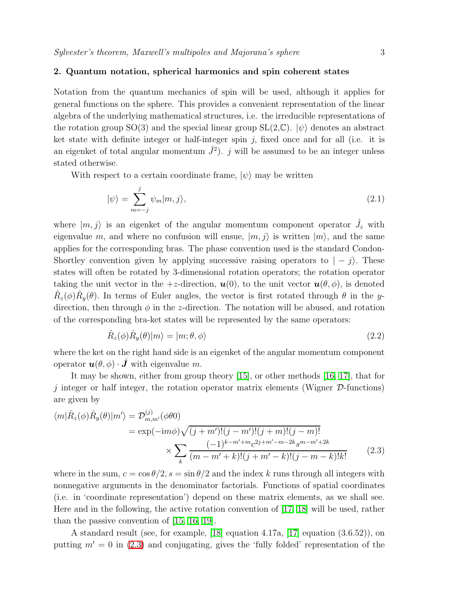# 2. Quantum notation, spherical harmonics and spin coherent states

Notation from the quantum mechanics of spin will be used, although it applies for general functions on the sphere. This provides a convenient representation of the linear algebra of the underlying mathematical structures, i.e. the irreducible representations of the rotation group SO(3) and the special linear group  $SL(2,\mathbb{C})$ .  $|\psi\rangle$  denotes an abstract ket state with definite integer or half-integer spin  $j$ , fixed once and for all (i.e. it is an eigenket of total angular momentum  $\hat{J}^2$ ). j will be assumed to be an integer unless stated otherwise.

With respect to a certain coordinate frame,  $|\psi\rangle$  may be written

$$
|\psi\rangle = \sum_{m=-j}^{j} \psi_m |m, j\rangle, \qquad (2.1)
$$

where  $|m, j\rangle$  is an eigenket of the angular momentum component operator  $\hat{J}_z$  with eigenvalue m, and where no confusion will ensue,  $|m, j\rangle$  is written  $|m\rangle$ , and the same applies for the corresponding bras. The phase convention used is the standard Condon-Shortley convention given by applying successive raising operators to  $| - j \rangle$ . These states will often be rotated by 3-dimensional rotation operators; the rotation operator taking the unit vector in the  $+z$ -direction,  $\mathbf{u}(0)$ , to the unit vector  $\mathbf{u}(\theta,\phi)$ , is denoted  $\hat{R}_z(\phi)\hat{R}_y(\theta)$ . In terms of Euler angles, the vector is first rotated through  $\theta$  in the ydirection, then through  $\phi$  in the *z*-direction. The notation will be abused, and rotation of the corresponding bra-ket states will be represented by the same operators:

$$
\hat{R}_z(\phi)\hat{R}_y(\theta)|m\rangle = |m;\theta,\phi\rangle
$$
\n(2.2)

where the ket on the right hand side is an eigenket of the angular momentum component operator  $\mathbf{u}(\theta, \phi) \cdot \hat{\mathbf{J}}$  with eigenvalue m.

It may be shown, either from group theory [\[15\]](#page-15-14), or other methods [\[16,](#page-15-15) [17\]](#page-15-16), that for j integer or half integer, the rotation operator matrix elements (Wigner  $\mathcal{D}\text{-}$ functions) are given by

<span id="page-2-0"></span>
$$
\langle m|\hat{R}_z(\phi)\hat{R}_y(\theta)|m'\rangle = \mathcal{D}_{m,m'}^{(j)}(\phi\theta 0)
$$
  
=  $\exp(-\mathrm{i}m\phi)\sqrt{(j+m')!(j-m')!(j+m)!(j-m)!}$   

$$
\times \sum_{k} \frac{(-1)^{k-m'+m}c^{2j+m'-m-2k}s^{m-m'+2k}}{(m-m'+k)!(j+m'-k)!(j-m-k)!k!}
$$
(2.3)

where in the sum,  $c = \cos \theta/2$ ,  $s = \sin \theta/2$  and the index k runs through all integers with nonnegative arguments in the denominator factorials. Functions of spatial coordinates (i.e. in 'coordinate representation') depend on these matrix elements, as we shall see. Here and in the following, the active rotation convention of [\[17,](#page-15-16) [18\]](#page-15-17) will be used, rather than the passive convention of [\[15,](#page-15-14) [16,](#page-15-15) [19\]](#page-15-18).

A standard result (see, for example, [\[18\]](#page-15-17) equation 4.17a, [\[17\]](#page-15-16) equation (3.6.52)), on putting  $m' = 0$  in [\(2.3\)](#page-2-0) and conjugating, gives the 'fully folded' representation of the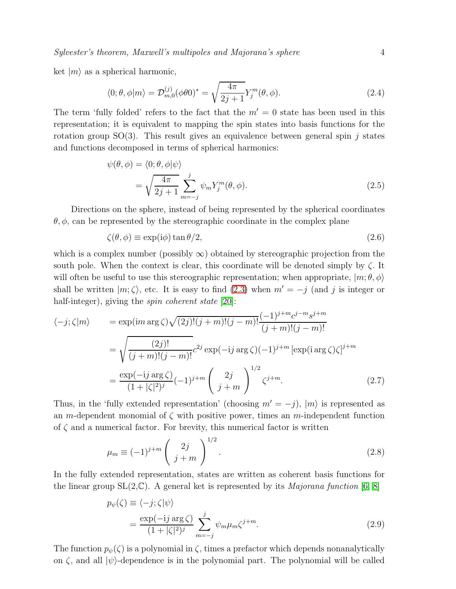ket  $|m\rangle$  as a spherical harmonic,

$$
\langle 0; \theta, \phi | m \rangle = \mathcal{D}_{m,0}^{(j)} (\phi \theta 0)^* = \sqrt{\frac{4\pi}{2j+1}} Y_j^m(\theta, \phi).
$$
 (2.4)

<span id="page-3-2"></span>The term 'fully folded' refers to the fact that the  $m' = 0$  state has been used in this representation; it is equivalent to mapping the spin states into basis functions for the rotation group  $SO(3)$ . This result gives an equivalence between general spin j states and functions decomposed in terms of spherical harmonics:

$$
\psi(\theta,\phi) = \langle 0;\theta,\phi|\psi\rangle
$$
  
=  $\sqrt{\frac{4\pi}{2j+1}}\sum_{m=-j}^{j} \psi_m Y_j^m(\theta,\phi).$  (2.5)

<span id="page-3-3"></span>Directions on the sphere, instead of being represented by the spherical coordinates  $\theta$ ,  $\phi$ , can be represented by the stereographic coordinate in the complex plane

$$
\zeta(\theta,\phi) \equiv \exp(i\phi) \tan \theta/2, \tag{2.6}
$$

which is a complex number (possibly  $\infty$ ) obtained by stereographic projection from the south pole. When the context is clear, this coordinate will be denoted simply by  $\zeta$ . It will often be useful to use this stereographic representation; when appropriate,  $|m; \theta, \phi\rangle$ shall be written  $|m; \zeta\rangle$ , etc. It is easy to find [\(2.3\)](#page-2-0) when  $m' = -j$  (and j is integer or half-integer), giving the *spin coherent state* [\[20\]](#page-15-19):

<span id="page-3-0"></span>
$$
\langle -j; \zeta | m \rangle = \exp(im \arg \zeta) \sqrt{(2j)!(j+m)!(j-m)!} \frac{(-1)^{j+m} c^{j-m} s^{j+m}}{(j+m)!(j-m)!}
$$

$$
= \sqrt{\frac{(2j)!}{(j+m)!(j-m)!}} c^{2j} \exp(-ij \arg \zeta) (-1)^{j+m} [\exp(i \arg \zeta) \zeta]^{j+m}
$$

$$
= \frac{\exp(-ij \arg \zeta)}{(1+|\zeta|^2)^j} (-1)^{j+m} \left(\frac{2j}{j+m}\right)^{1/2} \zeta^{j+m}.
$$
(2.7)

Thus, in the 'fully extended representation' (choosing  $m' = -j$ ),  $|m\rangle$  is represented as an m-dependent monomial of  $\zeta$  with positive power, times an m-independent function of  $\zeta$  and a numerical factor. For brevity, this numerical factor is written

$$
\mu_m \equiv (-1)^{j+m} \left( \begin{array}{c} 2j \\ j+m \end{array} \right)^{1/2}.
$$
\n(2.8)

<span id="page-3-1"></span>In the fully extended representation, states are written as coherent basis functions for the linear group  $SL(2,\mathbb{C})$ . A general ket is represented by its *Majorana function* [\[6,](#page-15-5) [8\]](#page-15-7)

$$
p_{\psi}(\zeta) \equiv \langle -j; \zeta | \psi \rangle
$$
  
= 
$$
\frac{\exp(-ij \arg \zeta)}{(1+|\zeta|^{2})^{j}} \sum_{m=-j}^{j} \psi_{m} \mu_{m} \zeta^{j+m}.
$$
 (2.9)

The function  $p_{\psi}(\zeta)$  is a polynomial in  $\zeta$ , times a prefactor which depends nonanalytically on  $\zeta$ , and all  $|\psi\rangle$ -dependence is in the polynomial part. The polynomial will be called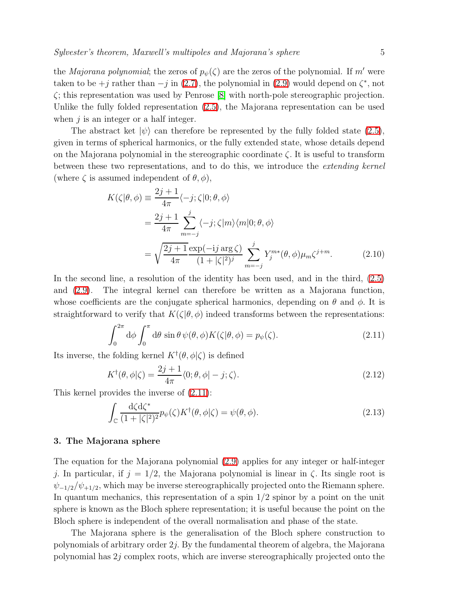the *Majorana polynomial*; the zeros of  $p_{\psi}(\zeta)$  are the zeros of the polynomial. If m' were taken to be  $+j$  rather than  $-j$  in [\(2.7\)](#page-3-0), the polynomial in [\(2.9\)](#page-3-1) would depend on  $\zeta^*$ , not ζ; this representation was used by Penrose [\[8\]](#page-15-7) with north-pole stereographic projection. Unlike the fully folded representation [\(2.5\)](#page-3-2), the Majorana representation can be used when  $j$  is an integer or a half integer.

The abstract ket  $|\psi\rangle$  can therefore be represented by the fully folded state [\(2.5\)](#page-3-2), given in terms of spherical harmonics, or the fully extended state, whose details depend on the Majorana polynomial in the stereographic coordinate  $\zeta$ . It is useful to transform between these two representations, and to do this, we introduce the extending kernel (where  $\zeta$  is assumed independent of  $\theta$ ,  $\phi$ ),

<span id="page-4-1"></span>
$$
K(\zeta|\theta,\phi) \equiv \frac{2j+1}{4\pi} \langle -j;\zeta|0;\theta,\phi \rangle
$$
  
= 
$$
\frac{2j+1}{4\pi} \sum_{m=-j}^{j} \langle -j;\zeta|m \rangle \langle m|0;\theta,\phi \rangle
$$
  
= 
$$
\sqrt{\frac{2j+1}{4\pi}} \frac{\exp(-ij\arg\zeta)}{(1+|\zeta|^2)^j} \sum_{m=-j}^{j} Y_j^{m*}(\theta,\phi) \mu_m \zeta^{j+m}.
$$
 (2.10)

In the second line, a resolution of the identity has been used, and in the third, [\(2.5\)](#page-3-2) and [\(2.9\)](#page-3-1). The integral kernel can therefore be written as a Majorana function, whose coefficients are the conjugate spherical harmonics, depending on  $\theta$  and  $\phi$ . It is straightforward to verify that  $K(\zeta|\theta,\phi)$  indeed transforms between the representations:

$$
\int_0^{2\pi} d\phi \int_0^{\pi} d\theta \sin \theta \, \psi(\theta, \phi) K(\zeta | \theta, \phi) = p_{\psi}(\zeta).
$$
 (2.11)

<span id="page-4-0"></span>Its inverse, the folding kernel  $K^{\dagger}(\theta, \phi|\zeta)$  is defined

$$
K^{\dagger}(\theta,\phi|\zeta) = \frac{2j+1}{4\pi} \langle 0;\theta,\phi| - j;\zeta \rangle.
$$
 (2.12)

This kernel provides the inverse of [\(2.11\)](#page-4-0):

$$
\int_{\mathbb{C}} \frac{d\zeta d\zeta^*}{(1+|\zeta|^2)^2} p_{\psi}(\zeta) K^{\dagger}(\theta, \phi|\zeta) = \psi(\theta, \phi).
$$
\n(2.13)

#### 3. The Majorana sphere

The equation for the Majorana polynomial [\(2.9\)](#page-3-1) applies for any integer or half-integer j. In particular, if  $j = 1/2$ , the Majorana polynomial is linear in  $\zeta$ . Its single root is  $\psi_{-1/2}/\psi_{+1/2}$ , which may be inverse stereographically projected onto the Riemann sphere. In quantum mechanics, this representation of a spin 1/2 spinor by a point on the unit sphere is known as the Bloch sphere representation; it is useful because the point on the Bloch sphere is independent of the overall normalisation and phase of the state.

The Majorana sphere is the generalisation of the Bloch sphere construction to polynomials of arbitrary order  $2j$ . By the fundamental theorem of algebra, the Majorana polynomial has  $2j$  complex roots, which are inverse stereographically projected onto the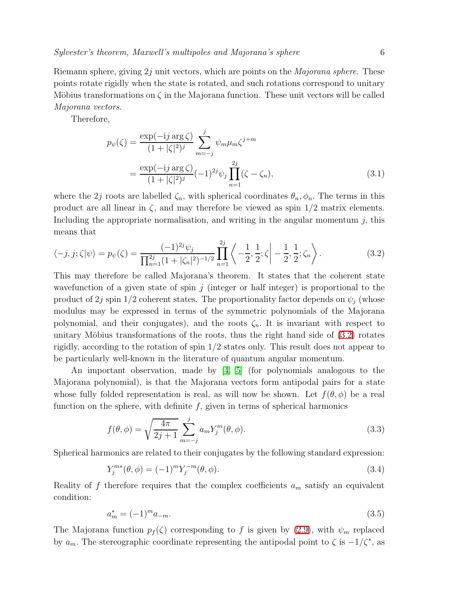Riemann sphere, giving  $2j$  unit vectors, which are points on the *Majorana sphere*. These points rotate rigidly when the state is rotated, and such rotations correspond to unitary Möbius transformations on  $\zeta$  in the Majorana function. These unit vectors will be called Majorana vectors.

Therefore,

$$
p_{\psi}(\zeta) = \frac{\exp(-ij \arg \zeta)}{(1+|\zeta|^2)^j} \sum_{m=-j}^{j} \psi_m \mu_m \zeta^{j+m}
$$
  
= 
$$
\frac{\exp(-ij \arg \zeta)}{(1+|\zeta|^2)^j} (-1)^{2j} \psi_j \prod_{n=1}^{2j} (\zeta - \zeta_n),
$$
 (3.1)

where the 2j roots are labelled  $\zeta_n$ , with spherical coordinates  $\theta_n, \phi_n$ . The terms in this product are all linear in  $\zeta$ , and may therefore be viewed as spin  $1/2$  matrix elements. Including the appropriate normalisation, and writing in the angular momentum  $j$ , this means that

<span id="page-5-0"></span>
$$
\langle -j, j; \zeta | \psi \rangle = p_{\psi}(\zeta) = \frac{(-1)^{2j} \psi_j}{\prod_{n=1}^{2j} (1 + |\zeta_n|^2)^{-1/2}} \prod_{n=1}^{2j} \left\langle -\frac{1}{2}, \frac{1}{2}; \zeta \mid -\frac{1}{2}, \frac{1}{2}; \zeta_n \right\rangle. \tag{3.2}
$$

This may therefore be called Majorana's theorem. It states that the coherent state wavefunction of a given state of spin  $j$  (integer or half integer) is proportional to the product of 2j spin 1/2 coherent states. The proportionality factor depends on  $\psi_i$  (whose modulus may be expressed in terms of the symmetric polynomials of the Majorana polynomial, and their conjugates), and the roots  $\zeta_n$ . It is invariant with respect to unitary Möbius transformations of the roots, thus the right hand side of  $(3.2)$  rotates rigidly, according to the rotation of spin 1/2 states only. This result does not appear to be particularly well-known in the literature of quantum angular momentum.

An important observation, made by  $\begin{bmatrix} 4 \\ 5 \end{bmatrix}$  (for polynomials analogous to the Majorana polynomial), is that the Majorana vectors form antipodal pairs for a state whose fully folded representation is real, as will now be shown. Let  $f(\theta, \phi)$  be a real function on the sphere, with definite  $f$ , given in terms of spherical harmonics

$$
f(\theta,\phi) = \sqrt{\frac{4\pi}{2j+1}} \sum_{m=-j}^{j} a_m Y_j^m(\theta,\phi).
$$
 (3.3)

Spherical harmonics are related to their conjugates by the following standard expression:

$$
Y_j^{m*}(\theta, \phi) = (-1)^m Y_j^{-m}(\theta, \phi).
$$
\n(3.4)

<span id="page-5-1"></span>Reality of f therefore requires that the complex coefficients  $a_m$  satisfy an equivalent condition:

$$
a_m^* = (-1)^m a_{-m}.\tag{3.5}
$$

The Majorana function  $p_f(\zeta)$  corresponding to f is given by [\(2.9\)](#page-3-1), with  $\psi_m$  replaced by  $a_m$ . The stereographic coordinate representing the antipodal point to  $\zeta$  is  $-1/\zeta^*$ , as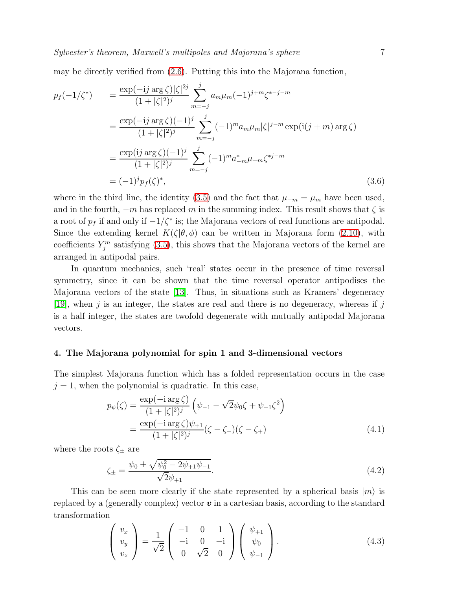may be directly verified from [\(2.6\)](#page-3-3). Putting this into the Majorana function,

<span id="page-6-2"></span>
$$
p_f(-1/\zeta^*) = \frac{\exp(-ij \arg \zeta)|\zeta|^{2j}}{(1+|\zeta|^2)^j} \sum_{m=-j}^j a_m \mu_m(-1)^{j+m} \zeta^{*-j-m}
$$
  

$$
= \frac{\exp(-ij \arg \zeta)(-1)^j}{(1+|\zeta|^2)^j} \sum_{m=-j}^j (-1)^m a_m \mu_m |\zeta|^{j-m} \exp(i(j+m) \arg \zeta)
$$
  

$$
= \frac{\exp(i j \arg \zeta)(-1)^j}{(1+|\zeta|^2)^j} \sum_{m=-j}^j (-1)^m a_{-m}^* \mu_{-m} \zeta^{*j-m}
$$
  

$$
= (-1)^j p_f(\zeta)^*, \qquad (3.6)
$$

where in the third line, the identity [\(3.5\)](#page-5-1) and the fact that  $\mu_{-m} = \mu_m$  have been used, and in the fourth,  $-m$  has replaced m in the summing index. This result shows that  $\zeta$  is a root of  $p_f$  if and only if  $-1/\zeta^*$  is; the Majorana vectors of real functions are antipodal. Since the extending kernel  $K(\zeta|\theta,\phi)$  can be written in Majorana form [\(2.10\)](#page-4-1), with coefficients  $Y_j^m$  satisfying [\(3.5\)](#page-5-1), this shows that the Majorana vectors of the kernel are arranged in antipodal pairs.

In quantum mechanics, such 'real' states occur in the presence of time reversal symmetry, since it can be shown that the time reversal operator antipodises the Majorana vectors of the state [\[13\]](#page-15-12). Thus, in situations such as Kramers' degeneracy [\[19\]](#page-15-18), when j is an integer, the states are real and there is no degeneracy, whereas if j is a half integer, the states are twofold degenerate with mutually antipodal Majorana vectors.

#### 4. The Majorana polynomial for spin 1 and 3-dimensional vectors

<span id="page-6-1"></span>The simplest Majorana function which has a folded representation occurs in the case  $j = 1$ , when the polynomial is quadratic. In this case,

$$
p_{\psi}(\zeta) = \frac{\exp(-i \arg \zeta)}{(1 + |\zeta|^2)^j} \left( \psi_{-1} - \sqrt{2} \psi_0 \zeta + \psi_{+1} \zeta^2 \right)
$$
  
= 
$$
\frac{\exp(-i \arg \zeta) \psi_{+1}}{(1 + |\zeta|^2)^j} (\zeta - \zeta_{-})(\zeta - \zeta_{+})
$$
 (4.1)

<span id="page-6-0"></span>where the roots  $\zeta_{\pm}$  are

$$
\zeta_{\pm} = \frac{\psi_0 \pm \sqrt{\psi_0^2 - 2\psi_{+1}\psi_{-1}}}{\sqrt{2}\psi_{+1}}.\tag{4.2}
$$

This can be seen more clearly if the state represented by a spherical basis  $|m\rangle$  is replaced by a (generally complex) vector  $\boldsymbol{v}$  in a cartesian basis, according to the standard transformation

$$
\begin{pmatrix} v_x \\ v_y \\ v_z \end{pmatrix} = \frac{1}{\sqrt{2}} \begin{pmatrix} -1 & 0 & 1 \\ -i & 0 & -i \\ 0 & \sqrt{2} & 0 \end{pmatrix} \begin{pmatrix} \psi_{+1} \\ \psi_0 \\ \psi_{-1} \end{pmatrix} . \tag{4.3}
$$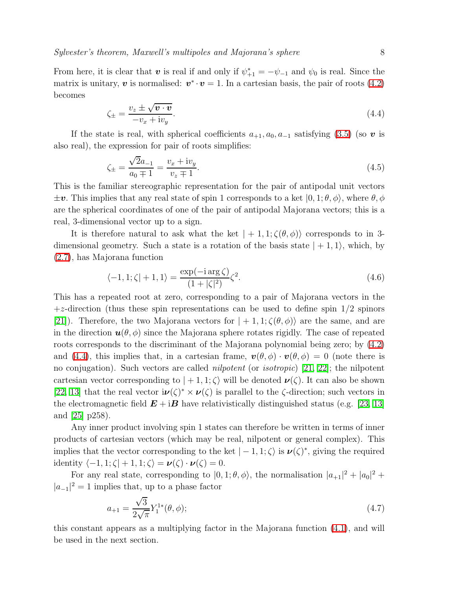<span id="page-7-0"></span>From here, it is clear that  $v$  is real if and only if  $\psi_{+1}^* = -\psi_{-1}$  and  $\psi_0$  is real. Since the matrix is unitary,  $\boldsymbol{v}$  is normalised:  $\boldsymbol{v}^*\cdot\boldsymbol{v} = 1$ . In a cartesian basis, the pair of roots [\(4.2\)](#page-6-0) becomes

$$
\zeta_{\pm} = \frac{v_z \pm \sqrt{\mathbf{v} \cdot \mathbf{v}}}{-v_x + \mathrm{i}v_y}.\tag{4.4}
$$

If the state is real, with spherical coefficients  $a_{+1}, a_0, a_{-1}$  satisfying [\(3.5\)](#page-5-1) (so v is also real), the expression for pair of roots simplifies:

$$
\zeta_{\pm} = \frac{\sqrt{2}a_{-1}}{a_0 \mp 1} = \frac{v_x + iv_y}{v_z \mp 1}.
$$
\n(4.5)

This is the familiar stereographic representation for the pair of antipodal unit vectors  $\pm \nu$ . This implies that any real state of spin 1 corresponds to a ket  $(0, 1; \theta, \phi)$ , where  $\theta, \phi$ are the spherical coordinates of one of the pair of antipodal Majorana vectors; this is a real, 3-dimensional vector up to a sign.

It is therefore natural to ask what the ket  $|+1,1;\zeta(\theta,\phi)\rangle$  corresponds to in 3dimensional geometry. Such a state is a rotation of the basis state  $|+1,1\rangle$ , which, by [\(2.7\)](#page-3-0), has Majorana function

$$
\langle -1, 1; \zeta | +1, 1 \rangle = \frac{\exp(-i \arg \zeta)}{(1+|\zeta|^2)} \zeta^2.
$$
 (4.6)

This has a repeated root at zero, corresponding to a pair of Majorana vectors in the  $+z$ -direction (thus these spin representations can be used to define spin  $1/2$  spinors [\[21\]](#page-15-20)). Therefore, the two Majorana vectors for  $|+1,1;\zeta(\theta,\phi)\rangle$  are the same, and are in the direction  $u(\theta, \phi)$  since the Majorana sphere rotates rigidly. The case of repeated roots corresponds to the discriminant of the Majorana polynomial being zero; by [\(4.2\)](#page-6-0) and [\(4.4\)](#page-7-0), this implies that, in a cartesian frame,  $\mathbf{v}(\theta, \phi) \cdot \mathbf{v}(\theta, \phi) = 0$  (note there is no conjugation). Such vectors are called nilpotent (or isotropic) [\[21,](#page-15-20) [22\]](#page-15-21); the nilpotent cartesian vector corresponding to  $|+1,1;\zeta\rangle$  will be denoted  $\nu(\zeta)$ . It can also be shown [\[22,](#page-15-21) [13\]](#page-15-12) that the real vector  $i\nu(\zeta)^* \times \nu(\zeta)$  is parallel to the  $\zeta$ -direction; such vectors in the electromagnetic field  $E + iB$  have relativistically distinguished status (e.g. [\[23,](#page-15-22) [13\]](#page-15-12) and [\[25\]](#page-15-23) p258).

Any inner product involving spin 1 states can therefore be written in terms of inner products of cartesian vectors (which may be real, nilpotent or general complex). This implies that the vector corresponding to the ket  $|-1,1;\zeta\rangle$  is  $\nu(\zeta)^*$ , giving the required identity  $\langle -1, 1; \zeta | +1, 1; \zeta \rangle = \nu(\zeta) \cdot \nu(\zeta) = 0.$ 

<span id="page-7-1"></span>For any real state, corresponding to  $|0,1;\theta,\phi\rangle$ , the normalisation  $|a_{+1}|^2 + |a_0|^2 +$  $|a_{-1}|^2 = 1$  implies that, up to a phase factor

$$
a_{+1} = \frac{\sqrt{3}}{2\sqrt{\pi}} Y_1^{1*}(\theta, \phi);
$$
\n(4.7)

this constant appears as a multiplying factor in the Majorana function [\(4.1\)](#page-6-1), and will be used in the next section.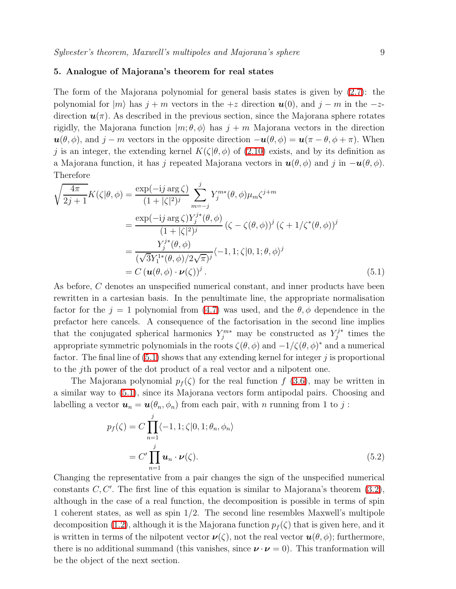# 5. Analogue of Majorana's theorem for real states

The form of the Majorana polynomial for general basis states is given by [\(2.7\)](#page-3-0): the polynomial for  $|m\rangle$  has  $j + m$  vectors in the  $+z$  direction  $u(0)$ , and  $j - m$  in the  $-z$ direction  $u(\pi)$ . As described in the previous section, since the Majorana sphere rotates rigidly, the Majorana function  $|m; \theta, \phi\rangle$  has  $j + m$  Majorana vectors in the direction  $u(\theta, \phi)$ , and  $j - m$  vectors in the opposite direction  $-u(\theta, \phi) = u(\pi - \theta, \phi + \pi)$ . When j is an integer, the extending kernel  $K(\zeta|\theta, \phi)$  of [\(2.10\)](#page-4-1) exists, and by its definition as a Majorana function, it has j repeated Majorana vectors in  $u(\theta, \phi)$  and j in  $-u(\theta, \phi)$ . Therefore

<span id="page-8-0"></span>
$$
\sqrt{\frac{4\pi}{2j+1}}K(\zeta|\theta,\phi) = \frac{\exp(-ij\arg\zeta)}{(1+|\zeta|^2)^j} \sum_{m=-j}^{j} Y_j^{m*}(\theta,\phi)\mu_m\zeta^{j+m}
$$

$$
= \frac{\exp(-ij\arg\zeta)Y_j^{j*}(\theta,\phi)}{(1+|\zeta|^2)^j} (\zeta-\zeta(\theta,\phi))^j (\zeta+1/\zeta^*(\theta,\phi))^j
$$

$$
= \frac{Y_j^{j*}(\theta,\phi)}{(\sqrt{3}Y_1^{1*}(\theta,\phi)/2\sqrt{\pi})^j} \langle -1,1;\zeta|0,1;\theta,\phi\rangle^j
$$

$$
= C(\mathbf{u}(\theta,\phi)\cdot\mathbf{v}(\zeta))^j. \tag{5.1}
$$

As before, C denotes an unspecified numerical constant, and inner products have been rewritten in a cartesian basis. In the penultimate line, the appropriate normalisation factor for the  $j = 1$  polynomial from [\(4.7\)](#page-7-1) was used, and the  $\theta$ ,  $\phi$  dependence in the prefactor here cancels. A consequence of the factorisation in the second line implies that the conjugated spherical harmonics  $Y_j^{m*}$  may be constructed as  $Y_j^{j*}$  $j^*$  times the appropriate symmetric polynomials in the roots  $\zeta(\theta, \phi)$  and  $-1/\zeta(\theta, \phi)^*$  and a numerical factor. The final line of  $(5.1)$  shows that any extending kernel for integer j is proportional to the jth power of the dot product of a real vector and a nilpotent one.

<span id="page-8-1"></span>The Majorana polynomial  $p_f(\zeta)$  for the real function f [\(3.6\)](#page-6-2), may be written in a similar way to [\(5.1\)](#page-8-0), since its Majorana vectors form antipodal pairs. Choosing and labelling a vector  $u_n = u(\theta_n, \phi_n)$  from each pair, with n running from 1 to j:

$$
p_f(\zeta) = C \prod_{n=1}^j \langle -1, 1; \zeta | 0, 1; \theta_n, \phi_n \rangle
$$
  
= C' \prod\_{n=1}^j \mathbf{u}\_n \cdot \mathbf{\nu}(\zeta). (5.2)

Changing the representative from a pair changes the sign of the unspecified numerical constants  $C, C'$ . The first line of this equation is similar to Majorana's theorem  $(3.2)$ , although in the case of a real function, the decomposition is possible in terms of spin 1 coherent states, as well as spin 1/2. The second line resembles Maxwell's multipole decomposition [\(1.2\)](#page-1-1), although it is the Majorana function  $p_f(\zeta)$  that is given here, and it is written in terms of the nilpotent vector  $\mathbf{v}(\zeta)$ , not the real vector  $\mathbf{u}(\theta, \phi)$ ; furthermore, there is no additional summand (this vanishes, since  $v \cdot v = 0$ ). This tranformation will be the object of the next section.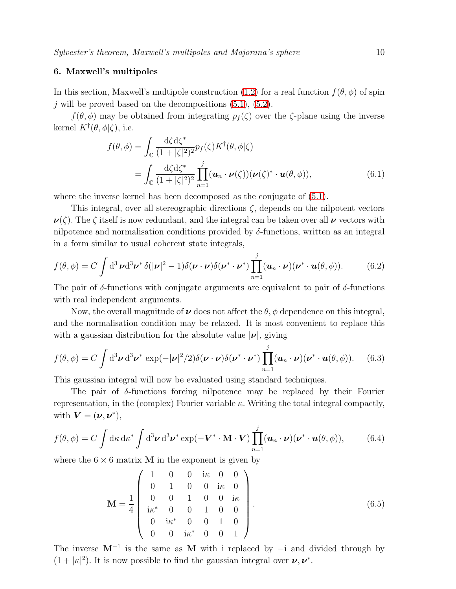## 6. Maxwell's multipoles

In this section, Maxwell's multipole construction [\(1.2\)](#page-1-1) for a real function  $f(\theta, \phi)$  of spin j will be proved based on the decompositions  $(5.1)$ ,  $(5.2)$ .

 $f(\theta, \phi)$  may be obtained from integrating  $p_f(\zeta)$  over the  $\zeta$ -plane using the inverse kernel  $K^{\dagger}(\theta,\phi|\zeta)$ , i.e.

$$
f(\theta,\phi) = \int_{\mathbb{C}} \frac{d\zeta d\zeta^*}{(1+|\zeta|^2)^2} p_f(\zeta) K^{\dagger}(\theta,\phi|\zeta)
$$
  
= 
$$
\int_{\mathbb{C}} \frac{d\zeta d\zeta^*}{(1+|\zeta|^2)^2} \prod_{n=1}^{j} (\boldsymbol{u}_n \cdot \boldsymbol{\nu}(\zeta)) (\boldsymbol{\nu}(\zeta)^* \cdot \boldsymbol{u}(\theta,\phi)),
$$
 (6.1)

where the inverse kernel has been decomposed as the conjugate of [\(5.1\)](#page-8-0).

This integral, over all stereographic directions  $\zeta$ , depends on the nilpotent vectors  $\nu(\zeta)$ . The  $\zeta$  itself is now redundant, and the integral can be taken over all  $\nu$  vectors with nilpotence and normalisation conditions provided by  $\delta$ -functions, written as an integral in a form similar to usual coherent state integrals,

$$
f(\theta,\phi) = C \int d^3 \nu d^3 \nu^* \delta(|\nu|^2 - 1) \delta(\nu \cdot \nu) \delta(\nu^* \cdot \nu^*) \prod_{n=1}^j (\boldsymbol{u}_n \cdot \nu) (\nu^* \cdot \boldsymbol{u}(\theta,\phi)).
$$
 (6.2)

The pair of  $\delta$ -functions with conjugate arguments are equivalent to pair of  $\delta$ -functions with real independent arguments.

Now, the overall magnitude of  $\nu$  does not affect the  $\theta$ ,  $\phi$  dependence on this integral, and the normalisation condition may be relaxed. It is most convenient to replace this with a gaussian distribution for the absolute value  $|\nu|$ , giving

<span id="page-9-1"></span>
$$
f(\theta,\phi) = C \int d^3 \nu \, d^3 \nu^* \, \exp(-|\nu|^2/2) \delta(\nu \cdot \nu) \delta(\nu^* \cdot \nu^*) \prod_{n=1}^j (\boldsymbol{u}_n \cdot \boldsymbol{\nu}) (\nu^* \cdot \boldsymbol{u}(\theta,\phi)). \tag{6.3}
$$

This gaussian integral will now be evaluated using standard techniques.

The pair of  $\delta$ -functions forcing nilpotence may be replaced by their Fourier representation, in the (complex) Fourier variable  $\kappa$ . Writing the total integral compactly, with  $\mathbf{V} = (\boldsymbol{\nu}, \boldsymbol{\nu}^*),$ 

<span id="page-9-0"></span>
$$
f(\theta,\phi) = C \int d\kappa \, d\kappa^* \int d^3 \nu \, d^3 \nu^* \exp(-\mathbf{V}^* \cdot \mathbf{M} \cdot \mathbf{V}) \prod_{n=1}^j (\mathbf{u}_n \cdot \mathbf{\nu})(\mathbf{\nu}^* \cdot \mathbf{u}(\theta,\phi)), \tag{6.4}
$$

where the  $6 \times 6$  matrix **M** in the exponent is given by

$$
\mathbf{M} = \frac{1}{4} \begin{pmatrix} 1 & 0 & 0 & i\kappa & 0 & 0 \\ 0 & 1 & 0 & 0 & i\kappa & 0 \\ 0 & 0 & 1 & 0 & 0 & i\kappa \\ i\kappa^* & 0 & 0 & 1 & 0 & 0 \\ 0 & i\kappa^* & 0 & 0 & 1 & 0 \\ 0 & 0 & i\kappa^* & 0 & 0 & 1 \end{pmatrix} .
$$
 (6.5)

The inverse  $M^{-1}$  is the same as M with i replaced by  $-i$  and divided through by  $(1+|\kappa|^2)$ . It is now possible to find the gaussian integral over  $\nu, \nu^*$ .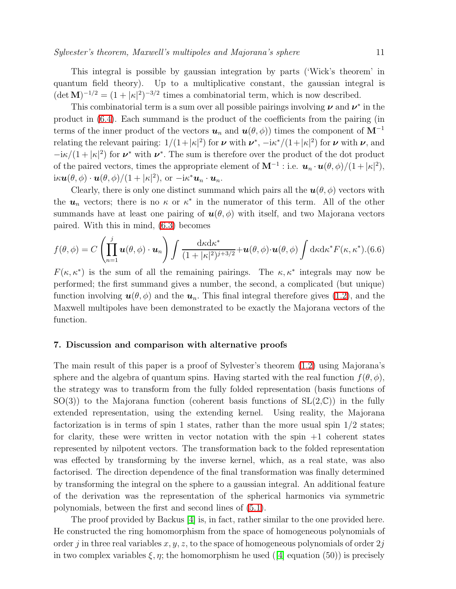This integral is possible by gaussian integration by parts ('Wick's theorem' in quantum field theory). Up to a multiplicative constant, the gaussian integral is  $(\det \mathbf{M})^{-1/2} = (1 + |\kappa|^2)^{-3/2}$  times a combinatorial term, which is now described.

This combinatorial term is a sum over all possible pairings involving  $\nu$  and  $\nu^*$  in the product in [\(6.4\)](#page-9-0). Each summand is the product of the coefficients from the pairing (in terms of the inner product of the vectors  $u_n$  and  $u(\theta, \phi)$  times the component of M<sup>-1</sup> relating the relevant pairing:  $1/(1+|\kappa|^2)$  for  $\nu$  with  $\nu^*$ ,  $-i\kappa^*/(1+|\kappa|^2)$  for  $\nu$  with  $\nu$ , and  $-i\kappa/(1+|\kappa|^2)$  for  $\nu^*$  with  $\nu^*$ . The sum is therefore over the product of the dot product of the paired vectors, times the appropriate element of  $\mathbf{M}^{-1}$  : i.e.  $\mathbf{u}_n \cdot \mathbf{u}(\theta, \phi)/(1+|\kappa|^2)$ ,  $i \kappa \boldsymbol{u}(\theta, \phi) \cdot \boldsymbol{u}(\theta, \phi) / (1 + |\kappa|^2), \text{ or } -i \kappa^* \boldsymbol{u}_n \cdot \boldsymbol{u}_n.$ 

Clearly, there is only one distinct summand which pairs all the  $u(\theta, \phi)$  vectors with the  $u_n$  vectors; there is no  $\kappa$  or  $\kappa^*$  in the numerator of this term. All of the other summands have at least one pairing of  $u(\theta, \phi)$  with itself, and two Majorana vectors paired. With this in mind, [\(6.3\)](#page-9-1) becomes

$$
f(\theta,\phi) = C \left( \prod_{n=1}^{j} \boldsymbol{u}(\theta,\phi) \cdot \boldsymbol{u}_n \right) \int \frac{d\kappa d\kappa^*}{(1+|\kappa|^2)^{j+3/2}} + \boldsymbol{u}(\theta,\phi) \cdot \boldsymbol{u}(\theta,\phi) \int d\kappa d\kappa^* F(\kappa,\kappa^*). (6.6)
$$

 $F(\kappa, \kappa^*)$  is the sum of all the remaining pairings. The  $\kappa, \kappa^*$  integrals may now be performed; the first summand gives a number, the second, a complicated (but unique) function involving  $u(\theta, \phi)$  and the  $u_n$ . This final integral therefore gives [\(1.2\)](#page-1-1), and the Maxwell multipoles have been demonstrated to be exactly the Majorana vectors of the function.

#### <span id="page-10-0"></span>7. Discussion and comparison with alternative proofs

The main result of this paper is a proof of Sylvester's theorem [\(1.2\)](#page-1-1) using Majorana's sphere and the algebra of quantum spins. Having started with the real function  $f(\theta, \phi)$ , the strategy was to transform from the fully folded representation (basis functions of  $SO(3)$ ) to the Majorana function (coherent basis functions of  $SL(2,\mathbb{C})$ ) in the fully extended representation, using the extending kernel. Using reality, the Majorana factorization is in terms of spin 1 states, rather than the more usual spin  $1/2$  states; for clarity, these were written in vector notation with the spin  $+1$  coherent states represented by nilpotent vectors. The transformation back to the folded representation was effected by transforming by the inverse kernel, which, as a real state, was also factorised. The direction dependence of the final transformation was finally determined by transforming the integral on the sphere to a gaussian integral. An additional feature of the derivation was the representation of the spherical harmonics via symmetric polynomials, between the first and second lines of [\(5.1\)](#page-8-0).

The proof provided by Backus [\[4\]](#page-15-3) is, in fact, rather similar to the one provided here. He constructed the ring homomorphism from the space of homogeneous polynomials of order j in three real variables  $x, y, z$ , to the space of homogeneous polynomials of order  $2j$ in two complex variables  $\xi, \eta$ ; the homomorphism he used ([\[4\]](#page-15-3) equation (50)) is precisely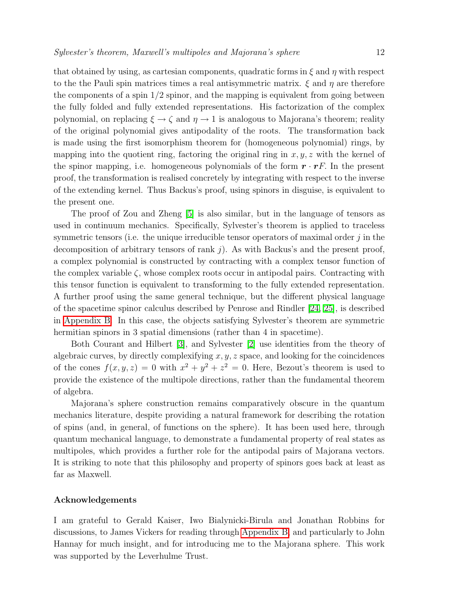that obtained by using, as cartesian components, quadratic forms in  $\xi$  and  $\eta$  with respect to the the Pauli spin matrices times a real antisymmetric matrix.  $\xi$  and  $\eta$  are therefore the components of a spin  $1/2$  spinor, and the mapping is equivalent from going between the fully folded and fully extended representations. His factorization of the complex polynomial, on replacing  $\xi \to \zeta$  and  $\eta \to 1$  is analogous to Majorana's theorem; reality of the original polynomial gives antipodality of the roots. The transformation back is made using the first isomorphism theorem for (homogeneous polynomial) rings, by mapping into the quotient ring, factoring the original ring in  $x, y, z$  with the kernel of the spinor mapping, i.e. homogeneous polynomials of the form  $\mathbf{r} \cdot \mathbf{r} F$ . In the present proof, the transformation is realised concretely by integrating with respect to the inverse of the extending kernel. Thus Backus's proof, using spinors in disguise, is equivalent to the present one.

The proof of Zou and Zheng [\[5\]](#page-15-4) is also similar, but in the language of tensors as used in continuum mechanics. Specifically, Sylvester's theorem is applied to traceless symmetric tensors (i.e. the unique irreducible tensor operators of maximal order  $j$  in the decomposition of arbitrary tensors of rank  $j$ ). As with Backus's and the present proof, a complex polynomial is constructed by contracting with a complex tensor function of the complex variable  $\zeta$ , whose complex roots occur in antipodal pairs. Contracting with this tensor function is equivalent to transforming to the fully extended representation. A further proof using the same general technique, but the different physical language of the spacetime spinor calculus described by Penrose and Rindler [\[24,](#page-15-24) [25\]](#page-15-23), is described in [Appendix B.](#page-12-1) In this case, the objects satisfying Sylvester's theorem are symmetric hermitian spinors in 3 spatial dimensions (rather than 4 in spacetime).

Both Courant and Hilbert [\[3\]](#page-15-2), and Sylvester [\[2\]](#page-15-1) use identities from the theory of algebraic curves, by directly complexifying  $x, y, z$  space, and looking for the coincidences of the cones  $f(x, y, z) = 0$  with  $x^2 + y^2 + z^2 = 0$ . Here, Bezout's theorem is used to provide the existence of the multipole directions, rather than the fundamental theorem of algebra.

Majorana's sphere construction remains comparatively obscure in the quantum mechanics literature, despite providing a natural framework for describing the rotation of spins (and, in general, of functions on the sphere). It has been used here, through quantum mechanical language, to demonstrate a fundamental property of real states as multipoles, which provides a further role for the antipodal pairs of Majorana vectors. It is striking to note that this philosophy and property of spinors goes back at least as far as Maxwell.

#### Acknowledgements

I am grateful to Gerald Kaiser, Iwo Bialynicki-Birula and Jonathan Robbins for discussions, to James Vickers for reading through [Appendix](#page-12-1) B, and particularly to John Hannay for much insight, and for introducing me to the Majorana sphere. This work was supported by the Leverhulme Trust.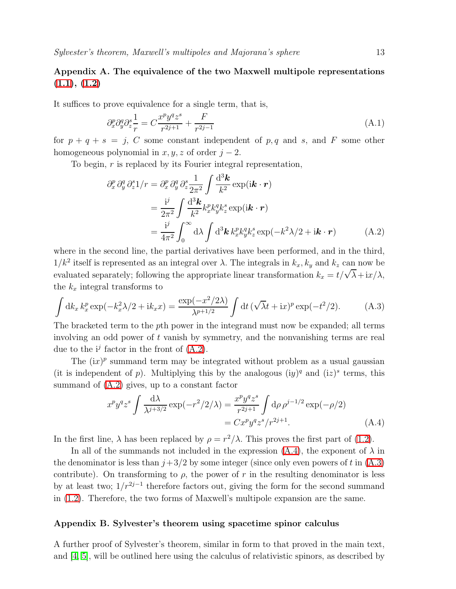# <span id="page-12-0"></span>Appendix A. The equivalence of the two Maxwell multipole representations  $(1.1), (1.2)$  $(1.1), (1.2)$  $(1.1), (1.2)$

It suffices to prove equivalence for a single term, that is,

$$
\partial_x^p \partial_y^q \partial_z^s \frac{1}{r} = C \frac{x^p y^q z^s}{r^{2j+1}} + \frac{F}{r^{2j-1}} \tag{A.1}
$$

for  $p + q + s = j$ , C some constant independent of p, q and s, and F some other homogeneous polynomial in  $x, y, z$  of order  $j - 2$ .

<span id="page-12-2"></span>To begin, r is replaced by its Fourier integral representation,

$$
\partial_x^p \partial_y^q \partial_z^s 1/r = \partial_x^p \partial_y^q \partial_z^s \frac{1}{2\pi^2} \int \frac{d^3 \mathbf{k}}{k^2} \exp(i\mathbf{k} \cdot \mathbf{r})
$$
  
= 
$$
\frac{i^j}{2\pi^2} \int \frac{d^3 \mathbf{k}}{k^2} k_x^p k_y^q k_z^s \exp(i\mathbf{k} \cdot \mathbf{r})
$$
  
= 
$$
\frac{i^j}{4\pi^2} \int_0^\infty d\lambda \int d^3 \mathbf{k} k_x^p k_y^q k_z^s \exp(-k^2 \lambda/2 + i\mathbf{k} \cdot \mathbf{r})
$$
 (A.2)

where in the second line, the partial derivatives have been performed, and in the third,  $1/k^2$  itself is represented as an integral over  $\lambda$ . The integrals in  $k_x, k_y$  and  $k_z$  can now be evaluated separately; following the appropriate linear transformation  $k_x = t/\sqrt{\lambda} + ix/\lambda$ , the  $k_x$  integral transforms to

<span id="page-12-4"></span>
$$
\int \mathrm{d}k_x \, k_x^p \exp(-k_x^2 \lambda/2 + i k_x x) = \frac{\exp(-x^2/2\lambda)}{\lambda^{p+1/2}} \int \mathrm{d}t \, (\sqrt{\lambda}t + ix)^p \exp(-t^2/2). \tag{A.3}
$$

The bracketed term to the pth power in the integrand must now be expanded; all terms involving an odd power of t vanish by symmetry, and the nonvanishing terms are real due to the  $i^j$  factor in the front of  $(A.2)$ .

The  $(ix)^p$  summand term may be integrated without problem as a usual gaussian (it is independent of p). Multiplying this by the analogous  $(iy)^q$  and  $(iz)^s$  terms, this summand of [\(A.2\)](#page-12-2) gives, up to a constant factor

$$
x^{p}y^{q}z^{s} \int \frac{d\lambda}{\lambda^{j+3/2}} \exp(-r^{2}/2/\lambda) = \frac{x^{p}y^{q}z^{s}}{r^{2j+1}} \int d\rho \,\rho^{j-1/2} \exp(-\rho/2)
$$
  
=  $Cx^{p}y^{q}z^{s}/r^{2j+1}$ . (A.4)

<span id="page-12-3"></span>In the first line,  $\lambda$  has been replaced by  $\rho = r^2/\lambda$ . This proves the first part of [\(1.2\)](#page-1-1).

In all of the summands not included in the expression  $(A.4)$ , the exponent of  $\lambda$  in the denominator is less than  $j+3/2$  by some integer (since only even powers of t in [\(A.3\)](#page-12-4) contribute). On transforming to  $\rho$ , the power of r in the resulting denominator is less by at least two;  $1/r^{2j-1}$  therefore factors out, giving the form for the second summand in [\(1.2\)](#page-1-1). Therefore, the two forms of Maxwell's multipole expansion are the same.

#### <span id="page-12-1"></span>Appendix B. Sylvester's theorem using spacetime spinor calculus

A further proof of Sylvester's theorem, similar in form to that proved in the main text, and [\[4,](#page-15-3) [5\]](#page-15-4), will be outlined here using the calculus of relativistic spinors, as described by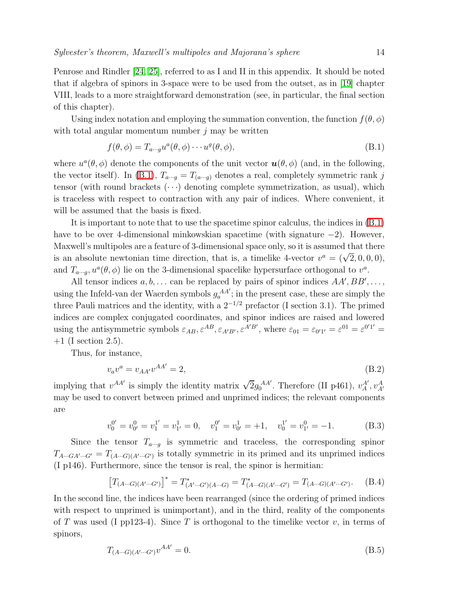Penrose and Rindler [\[24,](#page-15-24) [25\]](#page-15-23), referred to as I and II in this appendix. It should be noted that if algebra of spinors in 3-space were to be used from the outset, as in [\[19\]](#page-15-18) chapter VIII, leads to a more straightforward demonstration (see, in particular, the final section of this chapter).

<span id="page-13-0"></span>Using index notation and employing the summation convention, the function  $f(\theta, \phi)$ with total angular momentum number  $j$  may be written

$$
f(\theta, \phi) = T_{a\cdots g} u^a(\theta, \phi) \cdots u^g(\theta, \phi),
$$
\n(B.1)

where  $u^a(\theta, \phi)$  denote the components of the unit vector  $\mathbf{u}(\theta, \phi)$  (and, in the following, the vector itself). In [\(B.1\)](#page-13-0),  $T_{a\cdots g} = T_{(a\cdots g)}$  denotes a real, completely symmetric rank j tensor (with round brackets  $(\cdots)$  denoting complete symmetrization, as usual), which is traceless with respect to contraction with any pair of indices. Where convenient, it will be assumed that the basis is fixed.

It is important to note that to use the spacetime spinor calculus, the indices in [\(B.1\)](#page-13-0) have to be over 4-dimensional minkowskian spacetime (with signature −2). However, Maxwell's multipoles are a feature of 3-dimensional space only, so it is assumed that there is an absolute newtonian time direction, that is, a timelike 4-vector  $v^a = (\sqrt{2}, 0, 0, 0)$ , and  $T_{a\cdots g}$ ,  $u^a(\theta, \phi)$  lie on the 3-dimensional spacelike hypersurface orthogonal to  $v^a$ .

All tensor indices  $a, b, \ldots$  can be replaced by pairs of spinor indices  $AA', BB', \ldots$ , using the Infeld-van der Waerden symbols  $g_a^{AA'}$ ; in the present case, these are simply the three Pauli matrices and the identity, with a  $2^{-1/2}$  prefactor (I section 3.1). The primed indices are complex conjugated coordinates, and spinor indices are raised and lowered using the antisymmetric symbols  $\varepsilon_{AB}$ ,  $\varepsilon^{AB}$ ,  $\varepsilon_{A'B'}$ ,  $\varepsilon^{A'B'}$ , where  $\varepsilon_{01} = \varepsilon_{0'1'} = \varepsilon^{01} = \varepsilon^{0'1'}$  $+1$  (I section 2.5).

Thus, for instance,

$$
v_a v^a = v_{AA'} v^{AA'} = 2,
$$
\n(B.2)

implying that  $v^{AA'}$  is simply the identity matrix  $\sqrt{2}g_0^{AA'}$ . Therefore (II p461),  $v_A^{A'}$ ,  $v_{A'}^{A}$ may be used to convert between primed and unprimed indices; the relevant components are

$$
v_0^{0'} = v_{0'}^0 = v_1^{1'} = v_{1'}^1 = 0, \quad v_1^{0'} = v_{0'}^1 = +1, \quad v_0^{1'} = v_{1'}^0 = -1.
$$
 (B.3)

Since the tensor  $T_{a\cdots a}$  is symmetric and traceless, the corresponding spinor  $T_{A\cdots GA'\cdots G'}=T_{(A\cdots G)(A'\cdots G')}$  is totally symmetric in its primed and its unprimed indices (I p146). Furthermore, since the tensor is real, the spinor is hermitian:

$$
\left[T_{(A\cdots G)(A'\cdots G')} \right]^* = T^*_{(A'\cdots G')(A\cdots G)} = T^*_{(A\cdots G)(A'\cdots G')} = T_{(A\cdots G)(A'\cdots G')}.
$$
 (B.4)

<span id="page-13-1"></span>In the second line, the indices have been rearranged (since the ordering of primed indices with respect to unprimed is unimportant), and in the third, reality of the components of T was used (I pp123-4). Since T is orthogonal to the timelike vector  $v$ , in terms of spinors,

$$
T_{(A\cdots G)(A'\cdots G')}v^{AA'} = 0.
$$
\n(B.5)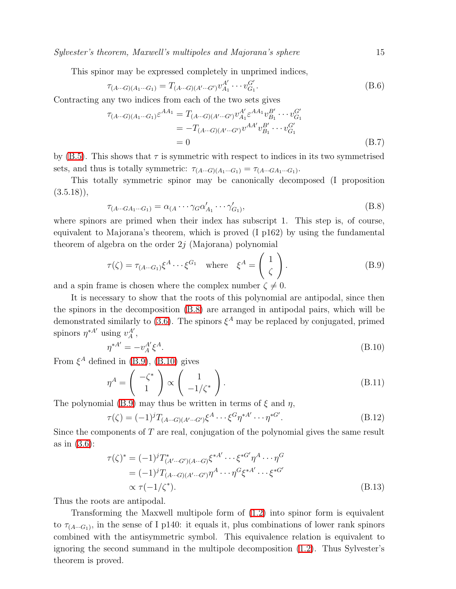Sylvester's theorem, Maxwell's multipoles and Majorana's sphere 15

This spinor may be expressed completely in unprimed indices,

$$
\tau_{(A\cdots G)(A_1\cdots G_1)} = T_{(A\cdots G)(A'\cdots G')} v_{A_1}^{A'} \cdots v_{G_1}^{G'}.
$$
\n(B.6)

Contracting any two indices from each of the two sets gives

$$
\tau_{(A\cdots G)(A_1\cdots G_1)}\varepsilon^{AA_1} = T_{(A\cdots G)(A'\cdots G')}v_{A_1}^{A'}\varepsilon^{AA_1}v_{B_1}^{B'}\cdots v_{G_1}^{G'}
$$
  
=  $-T_{(A\cdots G)(A'\cdots G')}v^{AA'}v_{B_1}^{B'}\cdots v_{G_1}^{G'}$   
= 0 (B.7)

by [\(B.5\)](#page-13-1). This shows that  $\tau$  is symmetric with respect to indices in its two symmetrised sets, and thus is totally symmetric:  $\tau_{(A\cdots G)(A_1\cdots G_1)} = \tau_{(A\cdots G A_1\cdots G_1)}$ .

<span id="page-14-0"></span>This totally symmetric spinor may be canonically decomposed (I proposition  $(3.5.18)$ ,

$$
\tau_{(A\cdots GA_1\cdots G_1)} = \alpha_{(A}\cdots \gamma_G \alpha'_{A_1} \cdots \gamma'_{G_1)},
$$
\n(B.8)

<span id="page-14-1"></span>where spinors are primed when their index has subscript 1. This step is, of course, equivalent to Majorana's theorem, which is proved (I p162) by using the fundamental theorem of algebra on the order  $2j$  (Majorana) polynomial

$$
\tau(\zeta) = \tau_{(A\cdots G_1)}\xi^A \cdots \xi^{G_1} \quad \text{where} \quad \xi^A = \begin{pmatrix} 1 \\ \zeta \end{pmatrix}.
$$
 (B.9)

and a spin frame is chosen where the complex number  $\zeta \neq 0$ .

It is necessary to show that the roots of this polynomial are antipodal, since then the spinors in the decomposition [\(B.8\)](#page-14-0) are arranged in antipodal pairs, which will be demonstrated similarly to [\(3.6\)](#page-6-2). The spinors  $\xi^A$  may be replaced by conjugated, primed spinors  $\eta^{*A'}$  using  $v_A^{A'}$ ,

$$
\eta^{*A'} = -v_A^{A'} \xi^A.
$$
\n(B.10)

<span id="page-14-2"></span>From  $\xi^A$  defined in [\(B.9\)](#page-14-1), [\(B.10\)](#page-14-2) gives

$$
\eta^A = \begin{pmatrix} -\zeta^* \\ 1 \end{pmatrix} \propto \begin{pmatrix} 1 \\ -1/\zeta^* \end{pmatrix}.
$$
 (B.11)

The polynomial [\(B.9\)](#page-14-1) may thus be written in terms of  $\xi$  and  $\eta$ ,

$$
\tau(\zeta) = (-1)^{j} T_{(A\cdots G)(A'\cdots G')} \xi^{A} \cdots \xi^{G} \eta^{*A'} \cdots \eta^{*G'}.
$$
\n(B.12)

Since the components of T are real, conjugation of the polynomial gives the same result as in [\(3.6\)](#page-6-2):

$$
\tau(\zeta)^{*} = (-1)^{j} T^{*}_{(A'\cdots G')(A\cdots G)} \xi^{*A'} \cdots \xi^{*G'} \eta^{A} \cdots \eta^{G}
$$
  
=  $(-1)^{j} T_{(A\cdots G)(A'\cdots G')} \eta^{A} \cdots \eta^{G} \xi^{*A'} \cdots \xi^{*G'}$   
 $\propto \tau(-1/\zeta^{*}).$  (B.13)

Thus the roots are antipodal.

Transforming the Maxwell multipole form of [\(1.2\)](#page-1-1) into spinor form is equivalent to  $\tau_{(A\cdots G_1)}$ , in the sense of I p140: it equals it, plus combinations of lower rank spinors combined with the antisymmetric symbol. This equivalence relation is equivalent to ignoring the second summand in the multipole decomposition [\(1.2\)](#page-1-1). Thus Sylvester's theorem is proved.